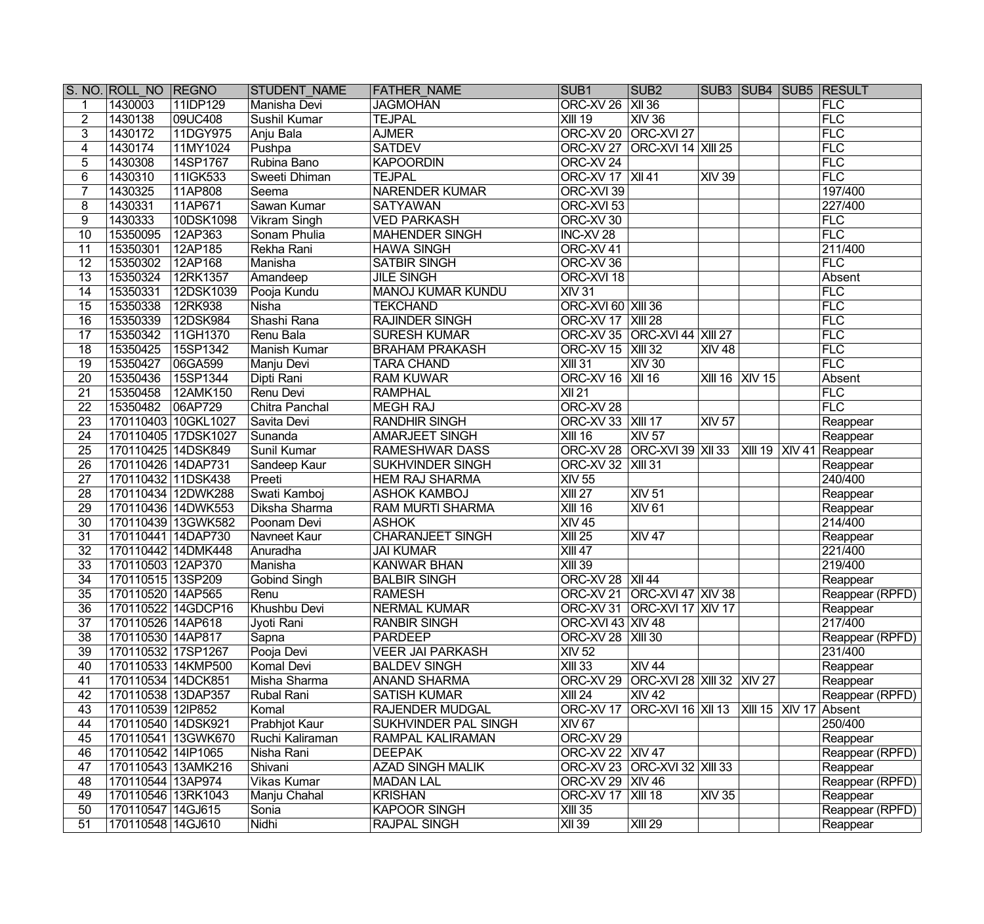|                 | S. NO. ROLL NO REGNO |                     | <b>STUDENT NAME</b> | <b>FATHER NAME</b>          | SUB <sub>1</sub>           | SUB <sub>2</sub>                                    |                            |                                | SUB3 SUB4 SUB5 RESULT |
|-----------------|----------------------|---------------------|---------------------|-----------------------------|----------------------------|-----------------------------------------------------|----------------------------|--------------------------------|-----------------------|
|                 | 1430003              | 11IDP129            | Manisha Devi        | <b>JAGMOHAN</b>             | ORC-XV 26   XII 36         |                                                     |                            |                                | FLC                   |
| $\overline{2}$  | 1430138              | 09UC408             | Sushil Kumar        | <b>TEJPAL</b>               | $XIII$ 19                  | XIV36                                               |                            |                                | FLC                   |
| 3               | 1430172              | 11DGY975            | Anju Bala           | <b>AJMER</b>                | ORC-XV 20                  | $ORC-XVI$ 27                                        |                            |                                | FLC                   |
| $\overline{4}$  | 1430174              | 11MY1024            | Pushpa              | <b>SATDEV</b>               | ORC-XV 27                  | <b>ORC-XVI 14 XIII 25</b>                           |                            |                                | FLC                   |
| $\overline{5}$  | 1430308              | 14SP1767            | Rubina Bano         | <b>KAPOORDIN</b>            | ORC-XV 24                  |                                                     |                            |                                | FLC                   |
| $6\overline{6}$ | 1430310              | 11IGK533            | Sweeti Dhiman       | <b>TEJPAL</b>               | <b>ORC-XV 17   XII 41</b>  |                                                     | XIV39                      |                                | FLC                   |
| $\overline{7}$  | 1430325              | 11AP808             | Seema               | <b>NARENDER KUMAR</b>       | ORC-XVI 39                 |                                                     |                            |                                | 197/400               |
| 8               | 1430331              | 11AP671             | Sawan Kumar         | <b>SATYAWAN</b>             | ORC-XVI 53                 |                                                     |                            |                                | 227/400               |
| 9               | 1430333              | 10DSK1098           | <b>Vikram Singh</b> | <b>VED PARKASH</b>          | ORC-XV 30                  |                                                     |                            |                                | FLC                   |
| 10              | 15350095             | 12AP363             | Sonam Phulia        | MAHENDER SINGH              | INC-XV 28                  |                                                     |                            |                                | FLC                   |
| 11              | 15350301             | 12AP185             | Rekha Rani          | <b>HAWA SINGH</b>           | ORC-XV41                   |                                                     |                            |                                | 211/400               |
| 12              | 15350302             | 12AP168             | Manisha             | <b>SATBIR SINGH</b>         | ORC-XV 36                  |                                                     |                            |                                | FLC                   |
| $\overline{13}$ | 15350324             | 12RK1357            | Amandeep            | <b>JILE SINGH</b>           | ORC-XVI 18                 |                                                     |                            |                                | Absent                |
| 14              | 15350331             | 12DSK1039           | Pooja Kundu         | <b>MANOJ KUMAR KUNDU</b>    | <b>XIV 31</b>              |                                                     |                            |                                | FLC                   |
| $\overline{15}$ | 15350338             | 12RK938             | <b>Nisha</b>        | <b>TEKCHAND</b>             | <b>ORC-XVI 60 XIII 36</b>  |                                                     |                            |                                | FLC                   |
| 16              | 15350339             | 12DSK984            | Shashi Rana         | <b>RAJINDER SINGH</b>       | <b>ORC-XV 17   XIII 28</b> |                                                     |                            |                                | FLC                   |
| 17              | 15350342             | 11GH1370            | Renu Bala           | <b>SURESH KUMAR</b>         |                            | ORC-XV 35 ORC-XVI 44 XIII 27                        |                            |                                | FLC                   |
| 18              | 15350425             | 15SP1342            | Manish Kumar        | <b>BRAHAM PRAKASH</b>       | <b>ORC-XV 15 XIII 32</b>   |                                                     | <b>XIV 48</b>              |                                | FLC                   |
| 19              | 15350427             | 06GA599             | Manju Devi          | <b>TARA CHAND</b>           | XIII31                     | XIV30                                               |                            |                                | FLC                   |
| 20              | 15350436             | 15SP1344            | Dipti Rani          | <b>RAM KUWAR</b>            | ORC-XV 16   XII 16         |                                                     | <b>XIII 16 XIV 15</b>      |                                | Absent                |
| 21              | 15350458             | 12AMK150            | Renu Devi           | <b>RAMPHAL</b>              | XII 21                     |                                                     |                            |                                | FLC                   |
| $\overline{22}$ | 15350482             | 06AP729             | Chitra Panchal      | <b>MEGH RAJ</b>             | ORC-XV 28                  |                                                     |                            |                                | FLC                   |
| $\overline{23}$ |                      | 170110403 10GKL1027 | Savita Devi         | <b>RANDHIR SINGH</b>        | <b>ORC-XV 33   XIII 17</b> |                                                     | $\overline{\text{XIV}}$ 57 |                                | Reappear              |
| $\overline{24}$ |                      | 170110405 17DSK1027 | Sunanda             | <b>AMARJEET SINGH</b>       | <b>XIII 16</b>             | XIV 57                                              |                            |                                | Reappear              |
| $\overline{25}$ | 170110425 14DSK849   |                     | Sunil Kumar         | <b>RAMESHWAR DASS</b>       |                            | ORC-XV 28 ORC-XVI 39 XII 33 XIII 19 XIV 41 Reappear |                            |                                |                       |
| $\overline{26}$ | 170110426 14DAP731   |                     | Sandeep Kaur        | <b>SUKHVINDER SINGH</b>     | ORC-XV 32   XIII 31        |                                                     |                            |                                | Reappear              |
| $\overline{27}$ | 170110432 11DSK438   |                     | Preeti              | <b>HEM RAJ SHARMA</b>       | XIV 55                     |                                                     |                            |                                | 240/400               |
| $\overline{28}$ |                      | 170110434 12DWK288  | Swati Kamboj        | <b>ASHOK KAMBOJ</b>         | XIII 27                    | XIV 51                                              |                            |                                | Reappear              |
| 29              |                      | 170110436 14DWK553  | Diksha Sharma       | <b>RAM MURTI SHARMA</b>     | $XIII$ 16                  | XIV61                                               |                            |                                | Reappear              |
| $\overline{30}$ |                      | 170110439 13GWK582  | Poonam Devi         | <b>ASHOK</b>                | <b>XIV 45</b>              |                                                     |                            |                                | 214/400               |
| $\overline{31}$ | 170110441 14DAP730   |                     | Navneet Kaur        | <b>CHARANJEET SINGH</b>     | XIII 25                    | <b>XIV 47</b>                                       |                            |                                | Reappear              |
| $\overline{32}$ | 170110442 14DMK448   |                     | Anuradha            | <b>JAI KUMAR</b>            | XIII 47                    |                                                     |                            |                                | 221/400               |
| $\overline{33}$ | 170110503 12AP370    |                     | Manisha             | <b>KANWAR BHAN</b>          | $XIII$ 39                  |                                                     |                            |                                | 219/400               |
| $\overline{34}$ | 170110515 13SP209    |                     | Gobind Singh        | <b>BALBIR SINGH</b>         | ORC-XV 28   XII 44         |                                                     |                            |                                | Reappear              |
| $\overline{35}$ | 170110520 14AP565    |                     | Renu                | <b>RAMESH</b>               |                            | ORC-XV 21 ORC-XVI 47 XIV 38                         |                            |                                | Reappear (RPFD)       |
| $\overline{36}$ |                      | 170110522 14GDCP16  | Khushbu Devi        | NERMAL KUMAR                |                            | ORC-XV 31 ORC-XVI 17 XIV 17                         |                            |                                | Reappear              |
| 37              | 170110526 14AP618    |                     | Jyoti Rani          | <b>RANBIR SINGH</b>         | ORC-XVI 43 XIV 48          |                                                     |                            |                                | 217/400               |
| 38              | 170110530 14AP817    |                     | Sapna               | <b>PARDEEP</b>              | ORC-XV 28   XIII 30        |                                                     |                            |                                | Reappear (RPFD)       |
| 39              | 170110532 17SP1267   |                     | Pooja Devi          | <b>VEER JAI PARKASH</b>     | XIV 52                     |                                                     |                            |                                | 231/400               |
| 40              | 170110533 14KMP500   |                     | Komal Devi          | <b>BALDEV SINGH</b>         | $XIII$ 33                  | <b>XIV 44</b>                                       |                            |                                | Reappear              |
| 41              | 170110534 14DCK851   |                     | Misha Sharma        | ANAND SHARMA                | ORC-XV 29                  | ORC-XVI 28   XIII 32   XIV 27                       |                            |                                | Reappear              |
| 42              | 170110538 13DAP357   |                     | <b>Rubal Rani</b>   | <b>SATISH KUMAR</b>         | <b>XIII 24</b>             | <b>XIV 42</b>                                       |                            |                                | Reappear (RPFD)       |
| 43              | 170110539 12IP852    |                     | Komal               | <b>RAJENDER MUDGAL</b>      | ORC-XV17                   | ORC-XVI 16   XII 13                                 |                            | $\vert$ XIII 15 $\vert$ XIV 17 | Absent                |
| 44              | 170110540 14DSK921   |                     | Prabhjot Kaur       | <b>SUKHVINDER PAL SINGH</b> | <b>XIV 67</b>              |                                                     |                            |                                | 250/400               |
| 45              |                      | 170110541 13GWK670  | Ruchi Kaliraman     | <b>RAMPAL KALIRAMAN</b>     | ORC-XV 29                  |                                                     |                            |                                | Reappear              |
| 46              | 170110542 14IP1065   |                     | Nisha Rani          | <b>DEEPAK</b>               | ORC-XV <sub>22</sub>       | <b>XIV 47</b>                                       |                            |                                | Reappear (RPFD)       |
| 47              | 170110543 13AMK216   |                     | Shivani             | <b>AZAD SINGH MALIK</b>     | ORC-XV 23                  | ORC-XVI 32   XIII 33                                |                            |                                | Reappear              |
| 48              | 170110544 13AP974    |                     | Vikas Kumar         | MADAN LAL                   | ORC-XV 29                  | <b>XIV 46</b>                                       |                            |                                | Reappear (RPFD)       |
| 49              | 170110546 13RK1043   |                     | Manju Chahal        | <b>KRISHAN</b>              | ORC-XV17                   | <b>XIII 18</b>                                      | XIV35                      |                                | Reappear              |
| 50              | 170110547 14GJ615    |                     | Sonia               | <b>KAPOOR SINGH</b>         | $XIII$ 35                  |                                                     |                            |                                | Reappear (RPFD)       |
| 51              | 170110548 14GJ610    |                     | Nidhi               | <b>RAJPAL SINGH</b>         | $XII$ 39                   | XIII 29                                             |                            |                                | Reappear              |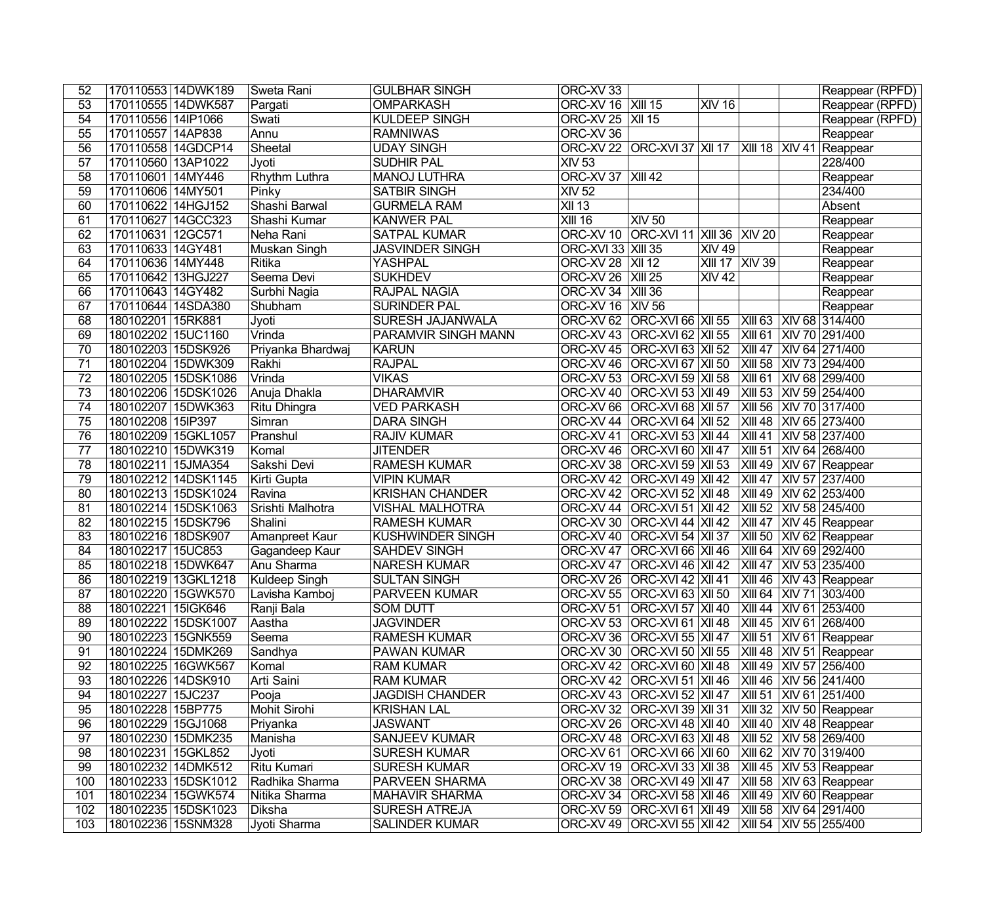| 52              | 170110553 14DWK189  | Sweta Rani          | <b>GULBHAR SINGH</b>    | ORC-XV 33                  |                                                    |                       |           | Reappear (RPFD)             |
|-----------------|---------------------|---------------------|-------------------------|----------------------------|----------------------------------------------------|-----------------------|-----------|-----------------------------|
| 53              | 170110555 14DWK587  | Pargati             | <b>OMPARKASH</b>        | ORC-XV 16   XIII 15        |                                                    | <b>XIV 16</b>         |           | Reappear (RPFD)             |
| 54              | 170110556 14IP1066  | Swati               | <b>KULDEEP SINGH</b>    | ORC-XV 25   XII 15         |                                                    |                       |           | Reappear (RPFD)             |
| 55              | 170110557 14AP838   | Annu                | <b>RAMNIWAS</b>         | ORC-XV 36                  |                                                    |                       |           | Reappear                    |
| $\overline{56}$ | 170110558 14GDCP14  | Sheetal             | <b>UDAY SINGH</b>       |                            | ORC-XV 22 ORC-XVI 37 XII 17                        |                       |           | XIII 18 XIV 41 Reappear     |
| 57              | 170110560 13AP1022  | Jyoti               | <b>SUDHIR PAL</b>       | <b>XIV 53</b>              |                                                    |                       |           | 228/400                     |
| 58              | 170110601 14MY446   | Rhythm Luthra       | <b>MANOJ LUTHRA</b>     | <b>ORC-XV 37   XIII 42</b> |                                                    |                       |           | Reappear                    |
| 59              | 170110606 14MY501   | Pinky               | <b>SATBIR SINGH</b>     | <b>XIV 52</b>              |                                                    |                       |           | 234/400                     |
| 60              | 170110622 14HGJ152  | Shashi Barwal       | <b>GURMELA RAM</b>      | $\overline{X}$ 13          |                                                    |                       |           | Absent                      |
| 61              | 170110627 14GCC323  | Shashi Kumar        | <b>KANWER PAL</b>       | <b>XIII 16</b>             | <b>XIV 50</b>                                      |                       |           | Reappear                    |
| 62              | 170110631 12GC571   | Neha Rani           | <b>SATPAL KUMAR</b>     |                            | ORC-XV 10 ORC-XVI 11 XIII 36 XIV 20                |                       |           | Reappear                    |
| 63              | 170110633 14GY481   | <b>Muskan Singh</b> | <b>JASVINDER SINGH</b>  | <b>ORC-XVI 33 XIII 35</b>  |                                                    | <b>XIV 49</b>         |           | Reappear                    |
| 64              | 170110636 14MY448   | <b>Ritika</b>       | YASHPAL                 | <b>ORC-XV 28   XII 12</b>  |                                                    | <b>XIII 17 XIV 39</b> |           | Reappear                    |
| 65              | 170110642 13HGJ227  | Seema Devi          | <b>SUKHDEV</b>          | ORC-XV 26   XIII 25        |                                                    | <b>XIV 42</b>         |           | Reappear                    |
| 66              | 170110643 14GY482   | Surbhi Nagia        | RAJPAL NAGIA            | ORC-XV 34   XIII 36        |                                                    |                       |           | Reappear                    |
| 67              | 170110644 14SDA380  | Shubham             | <b>SURINDER PAL</b>     | <b>ORC-XV 16 XIV 56</b>    |                                                    |                       |           | Reappear                    |
| 68              | 180102201 15RK881   | Jyoti               | SURESH JAJANWALA        |                            | ORC-XV 62 ORC-XVI 66 XII 55                        |                       |           | XIII 63 XIV 68 314/400      |
| 69              | 180102202 15UC1160  | Vrinda              | PARAMVIR SINGH MANN     |                            | ORC-XV 43 ORC-XVI 62 XII 55                        |                       |           | XIII 61 XIV 70 291/400      |
| 70              | 180102203 15DSK926  | Priyanka Bhardwaj   | <b>KARUN</b>            |                            | ORC-XV 45 ORC-XVI 63 XII 52                        |                       |           | XIII 47 XIV 64 271/400      |
| 71              | 180102204 15DWK309  | Rakhi               | <b>RAJPAL</b>           | ORC-XV 46                  | <b>ORC-XVI 67 XII 50</b>                           |                       |           | XIII 58 XIV 73 294/400      |
| 72              | 180102205 15DSK1086 | Vrinda              | <b>VIKAS</b>            |                            | ORC-XV 53 ORC-XVI 59 XII 58                        |                       |           | XIII 61 XIV 68 299/400      |
| 73              | 180102206 15DSK1026 | Anuja Dhakla        | <b>DHARAMVIR</b>        |                            | ORC-XV 40 ORC-XVI 53 XII 49                        |                       |           | XIII 53 XIV 59 254/400      |
| 74              | 180102207 15DWK363  | Ritu Dhingra        | <b>VED PARKASH</b>      |                            | ORC-XV 66 ORC-XVI 68 XII 57                        |                       |           | XIII 56 XIV 70 317/400      |
| 75              | 180102208 15IP397   | Simran              | <b>DARA SINGH</b>       |                            | ORC-XV 44   ORC-XVI 64   XII 52                    |                       | $XIII$ 48 | XIV 65 273/400              |
| 76              | 180102209 15GKL1057 | Pranshul            | <b>RAJIV KUMAR</b>      |                            | ORC-XV 41   ORC-XVI 53   XII 44                    |                       |           | XIII 41   XIV 58   237/400  |
| 77              | 180102210 15DWK319  | Komal               | <b>JITENDER</b>         |                            | ORC-XV 46   ORC-XVI 60   XII 47                    |                       |           | XIII 51 XIV 64 268/400      |
| 78              | 180102211 15JMA354  | Sakshi Devi         | <b>RAMESH KUMAR</b>     |                            | ORC-XV 38   ORC-XVI 59   XII 53                    |                       |           | XIII 49 XIV 67 Reappear     |
| 79              | 180102212 14DSK1145 | Kirti Gupta         | <b>VIPIN KUMAR</b>      |                            | ORC-XV 42 ORC-XVI 49 XII 42                        |                       | XIII 47   | XIV 57 237/400              |
| 80              | 180102213 15DSK1024 | Ravina              | <b>KRISHAN CHANDER</b>  |                            | ORC-XV 42 ORC-XVI 52 XII 48                        |                       |           | XIII 49 XIV 62 253/400      |
| 81              | 180102214 15DSK1063 | Srishti Malhotra    | <b>VISHAL MALHOTRA</b>  |                            | ORC-XV 44   ORC-XVI 51   XII 42                    |                       |           | XIII 52 XIV 58 245/400      |
| $\overline{82}$ | 180102215 15DSK796  | Shalini             | <b>RAMESH KUMAR</b>     |                            | ORC-XV 30 ORC-XVI 44 XII 42                        |                       |           | XIII 47 XIV 45 Reappear     |
| $\overline{83}$ | 180102216 18DSK907  | Amanpreet Kaur      | <b>KUSHWINDER SINGH</b> |                            | ORC-XV 40 ORC-XVI 54 XII 37                        |                       | $XIII$ 50 | XIV 62 Reappear             |
| 84              | 180102217 15UC853   | Gagandeep Kaur      | <b>SAHDEV SINGH</b>     |                            | ORC-XV 47 ORC-XVI 66 XII 46                        |                       | XIII64    | XIV 69 292/400              |
| 85              | 180102218 15DWK647  | Anu Sharma          | <b>NARESH KUMAR</b>     |                            | ORC-XV 47 ORC-XVI 46 XII 42                        |                       | $XIII$ 47 | XIV 53 235/400              |
| 86              | 180102219 13GKL1218 | Kuldeep Singh       | <b>SULTAN SINGH</b>     |                            | ORC-XV 26 ORC-XVI 42 XII 41                        |                       | XIII 46   | XIV 43 Reappear             |
| 87              | 180102220 15GWK570  | Lavisha Kamboj      | <b>PARVEEN KUMAR</b>    |                            | ORC-XV 55 ORC-XVI 63 XII 50                        |                       |           | XIII 64 XIV 71 303/400      |
| $\overline{88}$ | 180102221 15 GK646  | Ranji Bala          | <b>SOM DUTT</b>         |                            | ORC-XV 51 ORC-XVI 57 XII 40 XIII 44 XIV 61 253/400 |                       |           |                             |
| 89              | 180102222 15DSK1007 | Aastha              | <b>JAGVINDER</b>        |                            | ORC-XV 53   ORC-XVI 61   XII 48                    |                       |           | XIII 45  XIV 61   268/400   |
| 90              | 180102223 15GNK559  | Seema               | <b>RAMESH KUMAR</b>     |                            | ORC-XV 36   ORC-XVI 55   XII 47                    |                       |           | XIII 51 XIV 61 Reappear     |
| 91              | 180102224 15DMK269  | Sandhya             | PAWAN KUMAR             |                            | ORC-XV 30 ORC-XVI 50 XII 55                        |                       |           | XIII 48 XIV 51 Reappear     |
| 92              | 180102225 16GWK567  | Komal               | <b>RAM KUMAR</b>        |                            | ORC-XV 42 ORC-XVI 60 XII 48                        |                       |           | XIII 49 XIV 57 256/400      |
| 93              | 180102226 14DSK910  | Arti Saini          | <b>RAM KUMAR</b>        |                            | ORC-XV 42   ORC-XVI 51   XII 46                    |                       |           | XIII 46 XIV 56 241/400      |
| 94              | 180102227 15JC237   | Pooja               | <b>JAGDISH CHANDER</b>  |                            | ORC-XV 43   ORC-XVI 52   XII 47                    |                       |           | XIII 51 XIV 61 251/400      |
| 95              | 180102228 15BP775   | Mohit Sirohi        | <b>KRISHAN LAL</b>      |                            | ORC-XV 32   ORC-XVI 39   XII 31                    |                       |           | XIII 32   XIV 50   Reappear |
| 96              | 180102229 15GJ1068  | Priyanka            | <b>JASWANT</b>          |                            | ORC-XV 26 ORC-XVI 48 XII 40                        |                       |           | XIII 40 XIV 48 Reappear     |
| 97              | 180102230 15DMK235  | Manisha             | <b>SANJEEV KUMAR</b>    |                            | ORC-XV 48 ORC-XVI 63 XII 48                        |                       |           | XIII 52 XIV 58 269/400      |
| 98              | 180102231 15GKL852  | Jyoti               | <b>SURESH KUMAR</b>     |                            | ORC-XV 61   ORC-XVI 66   XII 60                    |                       |           | XIII 62   XIV 70   319/400  |
| 99              | 180102232 14DMK512  | <b>Ritu Kumari</b>  | <b>SURESH KUMAR</b>     |                            | ORC-XV 19   ORC-XVI 33   XII 38                    |                       |           | XIII 45 XIV 53 Reappear     |
| 100             | 180102233 15DSK1012 | Radhika Sharma      | <b>PARVEEN SHARMA</b>   |                            | ORC-XV 38 ORC-XVI 49 XII 47                        |                       |           | XIII 58 XIV 63 Reappear     |
| 101             | 180102234 15GWK574  | Nitika Sharma       | <b>MAHAVIR SHARMA</b>   |                            | ORC-XV 34 ORC-XVI 58 XII 46                        |                       |           | XIII 49 XIV 60 Reappear     |
| 102             | 180102235 15DSK1023 | Diksha              | <b>SURESH ATREJA</b>    |                            | ORC-XV 59 ORC-XVI 61 XII 49                        |                       |           | XIII 58 XIV 64 291/400      |
| 103             | 180102236 15SNM328  | Jyoti Sharma        | <b>SALINDER KUMAR</b>   |                            | ORC-XV 49   ORC-XVI 55   XII 42                    |                       |           | XIII 54 XIV 55 255/400      |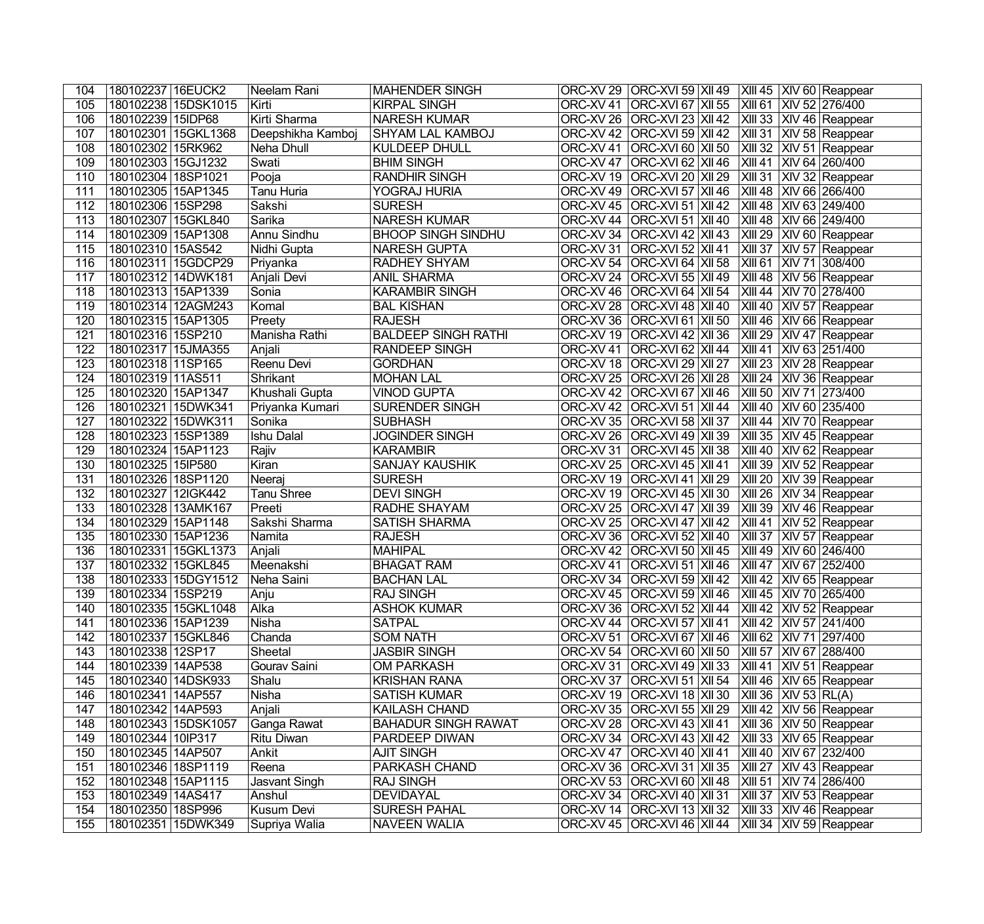| 104 | 180102237 16EUCK2  |                     | Neelam Rani       | <b>MAHENDER SINGH</b>      |                      | ORC-XV 29   ORC-XVI 59   XII 49   XIII 45   XIV 60   Reappear                                                |
|-----|--------------------|---------------------|-------------------|----------------------------|----------------------|--------------------------------------------------------------------------------------------------------------|
| 105 |                    | 180102238 15DSK1015 | Kirti             | <b>KIRPAL SINGH</b>        | ORC-XV 41            | ORC-XVI 67 XII 55 XIII 61 XIV 52 276/400                                                                     |
| 106 | 180102239 15IDP68  |                     | Kirti Sharma      | <b>NARESH KUMAR</b>        | ORC-XV 26            | $ ORC-XVI$ 23 $ XII$ 42 $ XIII$ 33 $ XIV$ 46 Reappear                                                        |
| 107 |                    | 180102301 15GKL1368 | Deepshikha Kamboj | <b>SHYAM LAL KAMBOJ</b>    |                      | ORC-XV 42 ORC-XVI 59 XII 42 XIII 31 XIV 58 Reappear                                                          |
| 108 | 180102302 15RK962  |                     | Neha Dhull        | <b>KULDEEP DHULL</b>       | ORC-XV41             | <b>ORC-XVI 60 XII 50</b><br>$\vert$ XIII 32 $\vert$ XIV 51 Reappear                                          |
| 109 | 180102303 15GJ1232 |                     | Swati             | <b>BHIM SINGH</b>          | ORC-XV 47            | <b>ORC-XVI 62 XII 46</b><br>XIII 41 XIV 64 260/400                                                           |
| 110 | 180102304 18SP1021 |                     | Pooja             | <b>RANDHIR SINGH</b>       | ORC-XV 19            | $\overline{\left  X\right }$ 31 $\overline{\left  X\right }$ 32 Reappear<br>  ORC-XVI 20   XII 29            |
| 111 | 180102305 15AP1345 |                     | Tanu Huria        | YOGRAJ HURIA               | ORC-XV 49            | $ ORC-XVI 57 XII 46$<br>XIII 48 XIV 66 266/400                                                               |
| 112 | 180102306 15SP298  |                     | Sakshi            | <b>SURESH</b>              |                      | ORC-XV 45   ORC-XVI 51   XII 42   XIII 48   XIV 63   249/400                                                 |
| 113 | 180102307 15GKL840 |                     | Sarika            | <b>NARESH KUMAR</b>        |                      | ORC-XV 44   ORC-XVI 51   XII 40<br>$\vert$ XIII 48 $\vert$ XIV 66 $\vert$ 249/400                            |
| 114 | 180102309 15AP1308 |                     | Annu Sindhu       | <b>BHOOP SINGH SINDHU</b>  |                      | XIII 29 XIV 60 Reappear<br>ORC-XV 34 ORC-XVI 42 XII 43                                                       |
| 115 | 180102310 15AS542  |                     | Nidhi Gupta       | NARESH GUPTA               |                      | ORC-XV 31 ORC-XVI 52 XII 41<br>XIII 37 XIV 57 Reappear                                                       |
| 116 | 180102311 15GDCP29 |                     | Priyanka          | RADHEY SHYAM               |                      | ORC-XV 54 ORC-XVI 64 XII 58<br>XIII 61 XIV 71 308/400                                                        |
| 117 | 180102312 14DWK181 |                     | Anjali Devi       | <b>ANIL SHARMA</b>         |                      | ORC-XV 24 ORC-XVI 55 XII 49<br>$XIII$ 48 XIV 56 Reappear                                                     |
| 118 | 180102313 15AP1339 |                     | Sonia             | <b>KARAMBIR SINGH</b>      | ORC-XV 46            | $ORC-XVI$ 64 $XII$ 54<br>XIII 44 XIV 70 278/400                                                              |
| 119 | 180102314 12AGM243 |                     | Komal             | <b>BAL KISHAN</b>          | ORC-XV 28            | XIII 40 XIV 57 Reappear<br>$ ORC-XVI 48 XII 40$                                                              |
| 120 | 180102315 15AP1305 |                     | Preety            | <b>RAJESH</b>              | ORC-XV 36            | ORC-XVI 61   XII 50<br>XIII 46 XIV 66 Reappear                                                               |
| 121 | 180102316 15SP210  |                     | Manisha Rathi     | <b>BALDEEP SINGH RATHI</b> |                      | ORC-XV 19 ORC-XVI 42 XII 36<br>XIII 29 XIV 47 Reappear                                                       |
| 122 | 180102317 15JMA355 |                     | Anjali            | <b>RANDEEP SINGH</b>       | ORC-XV 41            | XIII 41 XIV 63 251/400<br>  ORC-XVI 62   XII 44                                                              |
| 123 | 180102318 11SP165  |                     | Reenu Devi        | <b>GORDHAN</b>             | ORC-XV18             | ORC-XVI 29   XII 27<br>$\vert$ XIII 23 $\vert$ XIV 28 Reappear                                               |
| 124 | 180102319 11AS511  |                     | Shrikant          | <b>MOHAN LAL</b>           | ORC-XV <sub>25</sub> | ORC-XVI 26   XII 28<br>$XIII 24$ $XIV 36$ Reappear                                                           |
| 125 | 180102320 15AP1347 |                     | Khushali Gupta    | <b>VINOD GUPTA</b>         | ORC-XV 42            | ORC-XVI 67   XII 46<br> XIII 50  XIV 71   273/400                                                            |
| 126 | 180102321          | 15DWK341            | Priyanka Kumari   | <b>SURENDER SINGH</b>      | ORC-XV 42            | <b>ORC-XVI 51 XII 44</b><br>XIII 40 XIV 60 235/400                                                           |
| 127 | 180102322 15DWK311 |                     | Sonika            | <b>SUBHASH</b>             | ORC-XV 35            | ORC-XVI 58   XII 37<br>$XIII 44$ $XIV 70$ Reappear                                                           |
| 128 | 180102323 15SP1389 |                     | <b>Ishu Dalal</b> | <b>JOGINDER SINGH</b>      | ORC-XV 26            | ORC-XVI 49   XII 39<br>$XIII$ 35 $XIV$ 45 Reappear                                                           |
| 129 | 180102324 15AP1123 |                     | Rajiv             | <b>KARAMBIR</b>            | ORC-XV31             | $ ORC-XVI 45 XII 38$<br>$XIII$ 40 $XIV$ 62 Reappear                                                          |
| 130 | 180102325 15IP580  |                     | Kiran             | <b>SANJAY KAUSHIK</b>      |                      | ORC-XV 25 ORC-XVI 45 XII 41<br>XIII 39 XIV 52 Reappear                                                       |
| 131 | 180102326 18SP1120 |                     | Neeraj            | <b>SURESH</b>              |                      | ORC-XV 19 ORC-XVI 41 XII 29<br>XIII 20 XIV 39 Reappear                                                       |
| 132 | 180102327 12IGK442 |                     | Tanu Shree        | <b>DEVI SINGH</b>          |                      | ORC-XV 19 ORC-XVI 45 XII 30<br>XIII 26 XIV 34 Reappear                                                       |
| 133 | 180102328 13AMK167 |                     | Preeti            | RADHE SHAYAM               |                      | ORC-XV 25 ORC-XVI 47 XII 39<br>XIII 39 XIV 46 Reappear                                                       |
| 134 | 180102329 15AP1148 |                     | Sakshi Sharma     | <b>SATISH SHARMA</b>       |                      | ORC-XV 25 ORC-XVI 47 XII 42<br>$XIII$ 41 $XIV$ 52 Reappear                                                   |
| 135 | 180102330 15AP1236 |                     | Namita            | <b>RAJESH</b>              |                      | ORC-XV 36 ORC-XVI 52 XII 40<br>$\overline{\overline{\mathsf{XIII}}}$ 37<br>XIV 57 Reappear                   |
| 136 |                    | 180102331 15GKL1373 | Anjali            | <b>MAHIPAL</b>             |                      | ORC-XV 42 ORC-XVI 50 XII 45<br>XIII 49 XIV 60 246/400                                                        |
| 137 | 180102332 15GKL845 |                     | Meenakshi         | <b>BHAGAT RAM</b>          | ORC-XV 41            | ORC-XVI 51   XII 46<br>$\overline{\smash{\mathsf{XIII}}\hspace{0.05cm}47}$<br>XIV 67 252/400                 |
| 138 |                    | 180102333 15DGY1512 | Neha Saini        | <b>BACHAN LAL</b>          |                      | ORC-XV 34 ORC-XVI 59 XII 42<br>XIII 42 XIV 65 Reappear                                                       |
| 139 | 180102334 15SP219  |                     | Anju              | <b>RAJ SINGH</b>           |                      | ORC-XV 45 ORC-XVI 59 XII 46 XIII 45 XIV 70 265/400                                                           |
| 140 |                    | 180102335 15GKL1048 | Alka              | <b>ASHOK KUMAR</b>         |                      | ORC-XV 36 ORC-XVI 52 XII 44 XIII 42 XIV 52 Reappear                                                          |
| 141 | 180102336 15AP1239 |                     | Nisha             | SATPAL                     |                      | ORC-XV 44   ORC-XVI 57   XII 41<br> XIII 42  XIV 57   241/400                                                |
| 142 | 180102337 15GKL846 |                     | Chanda            | <b>SOM NATH</b>            |                      | ORC-XV 51 ORC-XVI 67 XII 46<br>XIII 62 XIV 71 297/400                                                        |
| 143 | 180102338 12SP17   |                     | Sheetal           | <b>JASBIR SINGH</b>        |                      | ORC-XV 54 ORC-XVI 60 XII 50<br>XIII 57 XIV 67 288/400                                                        |
| 144 | 180102339 14AP538  |                     | Gourav Saini      | <b>OM PARKASH</b>          |                      | ORC-XV 31 ORC-XVI 49 XII 33<br>$XIII$ 41 XIV 51 Reappear                                                     |
| 145 | 180102340 14DSK933 |                     | Shalu             | <b>KRISHAN RANA</b>        | ORC-XV 37            | $ ORC-XVI 51 XII 54$<br>$\overline{\phantom{a}}$ XIII 46 $\overline{\phantom{a}}$ XIV 65 Reappear            |
| 146 | 180102341 14AP557  |                     | <b>Nisha</b>      | <b>SATISH KUMAR</b>        |                      | ORC-XV 19 ORC-XVI 18 XII 30<br>$ X  136$ $ X V53 RL(A)$                                                      |
| 147 | 180102342 14AP593  |                     | Anjali            | KAILASH CHAND              |                      | ORC-XV 35   ORC-XVI 55   XII 29<br>$\overline{\phantom{a}}$ XIII 42 $\overline{\phantom{a}}$ XIV 56 Reappear |
| 148 |                    | 180102343 15DSK1057 | Ganga Rawat       | <b>BAHADUR SINGH RAWAT</b> |                      | ORC-XV 28   ORC-XVI 43   XII 41<br>$ X  136 X V50 $ Reappear                                                 |
| 149 | 180102344 10IP317  |                     | Ritu Diwan        | PARDEEP DIWAN              |                      | ORC-XV 34   ORC-XVI 43   XII 42<br>$\overline{\phantom{a}}$ XIII 33 XIV 65 Reappear                          |
| 150 | 180102345 14AP507  |                     | Ankit             | <b>AJIT SINGH</b>          |                      | ORC-XV 47   ORC-XVI 40   XII 41<br>  XIII 40   XIV 67   232/400                                              |
| 151 | 180102346 18SP1119 |                     | Reena             | <b>PARKASH CHAND</b>       |                      | ORC-XV 36   ORC-XVI 31   XII 35<br>$\vert$ XIII 27 $\vert$ XIV 43 Reappear                                   |
| 152 | 180102348 15AP1115 |                     | Jasvant Singh     | <b>RAJ SINGH</b>           |                      | ORC-XV 53 ORC-XVI 60 XII 48<br>XIII 51 XIV 74 286/400                                                        |
| 153 | 180102349 14AS417  |                     | Anshul            | <b>DEVIDAYAL</b>           |                      | ORC-XV 34 ORC-XVI 40 XII 31<br>$\overline{\phantom{a}}$ XIII 37 $\overline{\phantom{a}}$ XIV 53 Reappear     |
| 154 | 180102350 18SP996  |                     | Kusum Devi        | <b>SURESH PAHAL</b>        |                      | ORC-XV 14   ORC-XVI 13   XII 32   XIII 33   XIV 46   Reappear                                                |
| 155 |                    | 180102351 15DWK349  | Supriya Walia     | <b>NAVEEN WALIA</b>        |                      | ORC-XV 45 ORC-XVI 46 XII 44<br>$\overline{\phantom{a}}$ XIII 34 $\overline{\phantom{a}}$ XIV 59 Reappear     |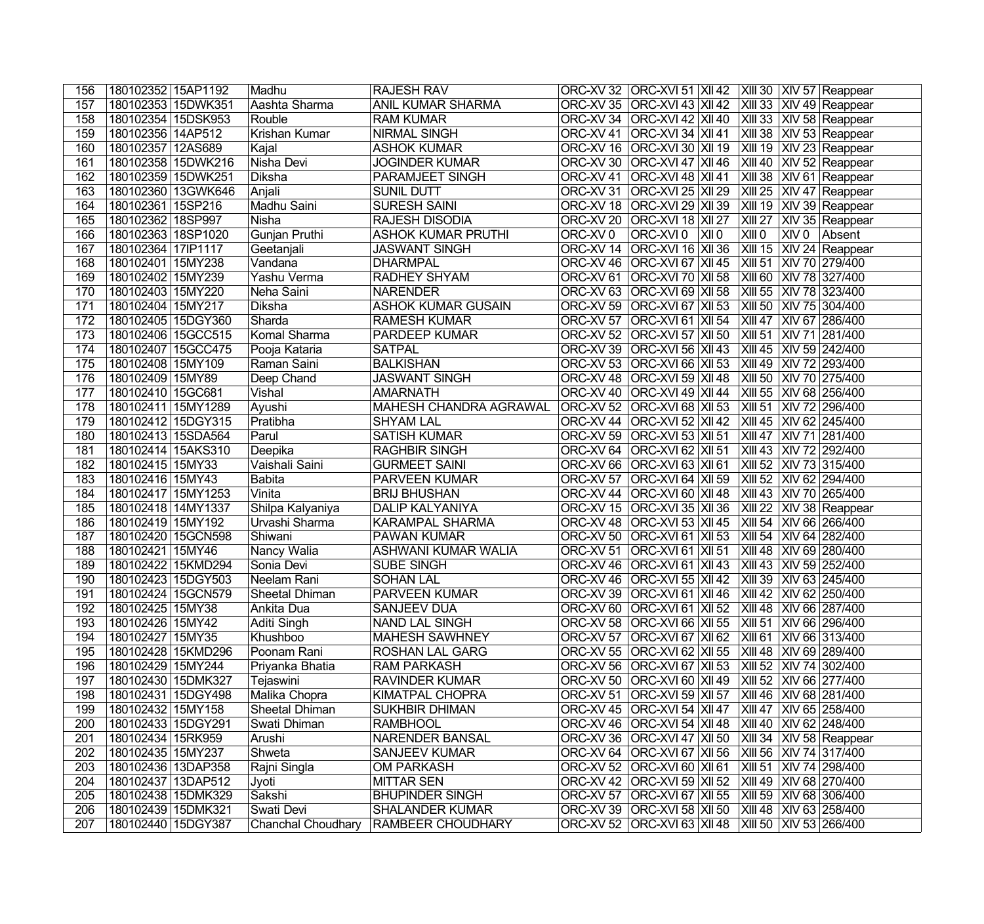| 156 | 180102352 15AP1192 | Madhu                     | <b>RAJESH RAV</b>          |                      |                                            | ORC-XV 32 ORC-XVI 51 XII 42 XIII 30 XIV 57 Reappear |
|-----|--------------------|---------------------------|----------------------------|----------------------|--------------------------------------------|-----------------------------------------------------|
| 157 | 180102353 15DWK351 | Aashta Sharma             | ANIL KUMAR SHARMA          | ORC-XV 35            |                                            | ORC-XVI 43 XII 42 XIII 33 XIV 49 Reappear           |
| 158 | 180102354 15DSK953 | Rouble                    | <b>RAM KUMAR</b>           |                      | ORC-XV 34   ORC-XVI 42   XII 40            | XIII 33 XIV 58 Reappear                             |
| 159 | 180102356 14AP512  | Krishan Kumar             | <b>NIRMAL SINGH</b>        |                      | ORC-XV 41   ORC-XVI 34   XII 41            | XIII 38 XIV 53 Reappear                             |
| 160 | 180102357 12AS689  | Kajal                     | <b>ASHOK KUMAR</b>         |                      | ORC-XV 16 ORC-XVI 30 XII 19                | XIII 19 XIV 23 Reappear                             |
| 161 | 180102358 15DWK216 | Nisha Devi                | <b>JOGINDER KUMAR</b>      | ORC-XV 30            | <b>ORC-XVI 47 XII 46</b>                   | XIII 40 XIV 52 Reappear                             |
| 162 | 180102359 15DWK251 | Diksha                    | PARAMJEET SINGH            | ORC-XV 41            | <b>ORC-XVI</b> 48   XII 41                 | XIII 38 XIV 61 Reappear                             |
| 163 | 180102360 13GWK646 | Anjali                    | <b>SUNIL DUTT</b>          | ORC-XV31             | $ ORC-XVI 25 XII 29$                       | XIII 25   XIV 47   Reappear                         |
| 164 | 180102361 15SP216  | Madhu Saini               | <b>SURESH SAINI</b>        |                      | ORC-XV 18 ORC-XVI 29 XII 39                | XIII 19 XIV 39 Reappear                             |
| 165 | 180102362 18SP997  | Nisha                     | <b>RAJESH DISODIA</b>      |                      | ORC-XV 20   ORC-XVI 18   XII 27            | XIII 27 XIV 35 Reappear                             |
| 166 | 180102363 18SP1020 | Gunjan Pruthi             | <b>ASHOK KUMAR PRUTHI</b>  | ORC-XV 0             | ORC-XVI 0<br> X  0                         | XIII0<br>XIV 0 Absent                               |
| 167 | 180102364 17IP1117 | Geetanjali                | <b>JASWANT SINGH</b>       |                      | ORC-XV 14 ORC-XVI 16 XII 36                | XIII 15 XIV 24 Reappear                             |
| 168 | 180102401 15MY238  | Vandana                   | <b>DHARMPAL</b>            |                      | ORC-XV 46 ORC-XVI 67 XII 45                | XIII 51 XIV 70 279/400                              |
| 169 | 180102402 15MY239  | Yashu Verma               | <b>RADHEY SHYAM</b>        |                      | ORC-XV 61 ORC-XVI 70 XII 58                | XIII 60 XIV 78 327/400                              |
| 170 | 180102403 15MY220  | Neha Saini                | <b>NARENDER</b>            | ORC-XV63             | <b>ORC-XVI 69 XII 58</b>                   | XIII 55 XIV 78 323/400                              |
| 171 | 180102404 15MY217  | <b>Diksha</b>             | <b>ASHOK KUMAR GUSAIN</b>  | ORC-XV 59            | ORC-XVI 67   XII 53                        | XIII 50 XIV 75 304/400                              |
| 172 | 180102405 15DGY360 | Sharda                    | <b>RAMESH KUMAR</b>        | ORC-XV 57            | $ORC-XVI$ 61 $XII$ 54                      | XIII 47<br>XIV 67 286/400                           |
| 173 | 180102406 15GCC515 | Komal Sharma              | <b>PARDEEP KUMAR</b>       | ORC-XV <sub>52</sub> | <b>ORC-XVI 57 XII 50</b>                   | XIII 51 XIV 71 281/400                              |
| 174 | 180102407 15GCC475 | Pooja Kataria             | <b>SATPAL</b>              | ORC-XV 39            | ORC-XVI 56   XII 43                        | XIII 45 XIV 59 242/400                              |
| 175 | 180102408 15MY109  | Raman Saini               | <b>BALKISHAN</b>           | ORC-XV 53            | ORC-XVI 66   XII 53                        | XIII 49   XIV 72   293/400                          |
| 176 | 180102409 15MY89   | Deep Chand                | <b>JASWANT SINGH</b>       | ORC-XV48             | ORC-XVI 59   XII 48                        | XIII 50 XIV 70 275/400                              |
| 177 | 180102410 15GC681  | Vishal                    | <b>AMARNATH</b>            | ORC-XV 40            | <b>ORC-XVI 49 XII 44</b>                   | XIII 55 XIV 68 256/400                              |
| 178 | 180102411 15MY1289 | Ayushi                    | MAHESH CHANDRA AGRAWAL     | ORC-XV <sub>52</sub> | <b>ORC-XVI 68 XII 53</b>                   | XIII 51 XIV 72 296/400                              |
| 179 | 180102412 15DGY315 | Pratibha                  | <b>SHYAM LAL</b>           | ORC-XV 44            | <b>ORC-XVI 52 XII 42</b>                   | XIII 45 XIV 62 245/400                              |
| 180 | 180102413 15SDA564 | Parul                     | <b>SATISH KUMAR</b>        | ORC-XV 59            | $ORC-XVI$ 53 XII 51                        | XIII 47 XIV 71 281/400                              |
| 181 | 180102414 15AKS310 | Deepika                   | <b>RAGHBIR SINGH</b>       |                      | ORC-XV 64   ORC-XVI 62   XII 51            | XIII 43  XIV 72   292/400                           |
| 182 | 180102415 15MY33   | Vaishali Saini            | <b>GURMEET SAINI</b>       |                      | ORC-XV 66   ORC-XVI 63   XII 61            | XIII 52 XIV 73 315/400                              |
| 183 | 180102416 15MY43   | <b>Babita</b>             | <b>PARVEEN KUMAR</b>       |                      | ORC-XV 57 ORC-XVI 64 XII 59                | XIII 52 XIV 62 294/400                              |
| 184 | 180102417 15MY1253 | Vinita                    | <b>BRIJ BHUSHAN</b>        |                      | ORC-XV 44   ORC-XVI 60   XII 48            | XIII 43 XIV 70 265/400                              |
| 185 | 180102418 14MY1337 | Shilpa Kalyaniya          | <b>DALIP KALYANIYA</b>     |                      | ORC-XV 15 ORC-XVI 35 XII 36                | XIII 22 XIV 38 Reappear                             |
| 186 | 180102419 15MY192  | Urvashi Sharma            | <b>KARAMPAL SHARMA</b>     |                      | ORC-XV 48 ORC-XVI 53 XII 45                | XIII 54 XIV 66 266/400                              |
| 187 | 180102420 15GCN598 | Shiwani                   | <b>PAWAN KUMAR</b>         | ORC-XV 50            | <b>ORC-XVI 61 XII 53</b>                   | XIII 54 XIV 64 282/400                              |
| 188 | 180102421 15MY46   | Nancy Walia               | <b>ASHWANI KUMAR WALIA</b> | ORC-XV <sub>51</sub> | <b>ORC-XVI 61 XII 51</b>                   | XIII 48 XIV 69 280/400                              |
| 189 | 180102422 15KMD294 | Sonia Devi                | <b>SUBE SINGH</b>          | ORC-XV 46            | $ ORC-XVI$ 61 $ XII$ 43                    | XIII 43  XIV 59   252/400                           |
| 190 | 180102423 15DGY503 | Neelam Rani               | <b>SOHAN LAL</b>           | ORC-XV 46            | <b>ORC-XVI 55 XII 42</b>                   | XIII 39 XIV 63 245/400                              |
| 191 | 180102424 15GCN579 | Sheetal Dhiman            | <b>PARVEEN KUMAR</b>       |                      | ORC-XV 39 ORC-XVI 61 XII 46                | XIII 42 XIV 62 250/400                              |
| 192 | 180102425 15MY38   | Ankita Dua                | <b>SANJEEV DUA</b>         |                      |                                            | ORC-XV 60 ORC-XVI 61 XII 52 XIII 48 XIV 66 287/400  |
| 193 | 180102426 15MY42   | Aditi Singh               | NAND LAL SINGH             |                      | ORC-XV 58 ORC-XVI 66 XII 55                | XIII 51  XIV 66   296/400                           |
| 194 | 180102427 15MY35   | Khushboo                  | <b>MAHESH SAWHNEY</b>      |                      | ORC-XV 57   ORC-XVI 67   XII 62            | XIII 61 XIV 66 313/400                              |
| 195 | 180102428 15KMD296 | Poonam Rani               | <b>ROSHAN LAL GARG</b>     |                      | ORC-XV 55 ORC-XVI 62 XII 55                | XIII 48 XIV 69 289/400                              |
| 196 | 180102429 15MY244  | Priyanka Bhatia           | <b>RAM PARKASH</b>         |                      | ORC-XV 56   ORC-XVI 67   XII 53            | XIII 52 XIV 74 302/400                              |
| 197 | 180102430 15DMK327 | Tejaswini                 | <b>RAVINDER KUMAR</b>      | ORC-XV 50            | $ ORC-XVI$ 60 $ XII$ 49                    | XIII 52 XIV 66 277/400                              |
| 198 | 180102431 15DGY498 | Malika Chopra             | KIMATPAL CHOPRA            | ORC-XV 51            | $ {\sf ORC\text{-}XVI}$ 59 $ {\sf XII}$ 57 | XIII 46  XIV 68   281/400                           |
| 199 | 180102432 15MY158  | Sheetal Dhiman            | <b>SUKHBIR DHIMAN</b>      |                      | ORC-XV 45   ORC-XVI 54   XII 47            | XIII 47  XIV 65   258/400                           |
| 200 | 180102433 15DGY291 | Swati Dhiman              | <b>RAMBHOOL</b>            |                      | ORC-XV 46   ORC-XVI 54   XII 48            | XIII 40  XIV 62   248/400                           |
| 201 | 180102434 15RK959  | Arushi                    | NARENDER BANSAL            |                      | ORC-XV 36   ORC-XVI 47   XII 50            | XIII 34   XIV 58   Reappear                         |
| 202 | 180102435 15MY237  | Shweta                    | <b>SANJEEV KUMAR</b>       |                      | ORC-XV 64   ORC-XVI 67   XII 56            | XIII 56 XIV 74 317/400                              |
| 203 | 180102436 13DAP358 | Rajni Singla              | <b>OM PARKASH</b>          |                      | ORC-XV 52   ORC-XVI 60   XII 61            | XIII 51  XIV 74   298/400                           |
| 204 | 180102437 13DAP512 | Jyoti                     | <b>MITTAR SEN</b>          |                      | ORC-XV 42 ORC-XVI 59 XII 52                | XIII 49 XIV 68 270/400                              |
| 205 | 180102438 15DMK329 | Sakshi                    | <b>BHUPINDER SINGH</b>     |                      | ORC-XV 57 ORC-XVI 67 XII 55                | XIII 59 XIV 68 306/400                              |
| 206 | 180102439 15DMK321 | Swati Devi                | <b>SHALANDER KUMAR</b>     |                      | ORC-XV 39 ORC-XVI 58 XII 50                | XIII 48 XIV 63 258/400                              |
| 207 | 180102440 15DGY387 | <b>Chanchal Choudhary</b> | <b>RAMBEER CHOUDHARY</b>   |                      | ORC-XV 52 ORC-XVI 63 XII 48                | XIII 50 XIV 53 266/400                              |